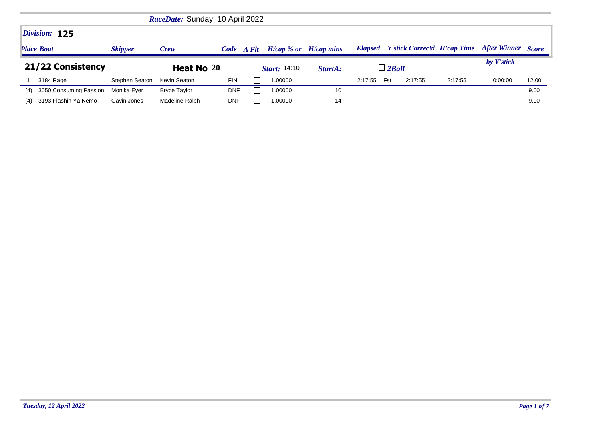|                                     |                                    | RaceDate: Sunday, 10 April 2022 |                     |         |                           |               |     |         |                                            |                           |       |
|-------------------------------------|------------------------------------|---------------------------------|---------------------|---------|---------------------------|---------------|-----|---------|--------------------------------------------|---------------------------|-------|
| Division: 125                       |                                    |                                 |                     |         |                           |               |     |         |                                            |                           |       |
| <b>Place Boat</b><br><b>Skipper</b> | Crew                               |                                 | Code A Flt          |         | $H/cap$ % or $H/cap$ mins |               |     |         | <b>Elapsed</b> Y'stick Correctd H'cap Time | <b>After Winner</b> Score |       |
| 21/22 Consistency                   | Heat No 20                         |                                 | <b>Start:</b> 14:10 |         | StartA:                   | $\perp$ 2Ball |     |         |                                            | by Y'stick                |       |
| 3184 Rage                           | Stephen Seaton<br>Kevin Seaton     | <b>FIN</b>                      |                     | 1.00000 |                           | 2:17:55       | Fst | 2:17:55 | 2:17:55                                    | 0:00:00                   | 12.00 |
| 3050 Consuming Passion<br>(4)       | Monika Eyer<br><b>Bryce Taylor</b> | <b>DNF</b>                      |                     | 1.00000 | 10                        |               |     |         |                                            |                           | 9.00  |
| 3193 Flashin Ya Nemo<br>(4)         | Madeline Ralph<br>Gavin Jones      | <b>DNF</b>                      |                     | 1.00000 | $-14$                     |               |     |         |                                            |                           | 9.00  |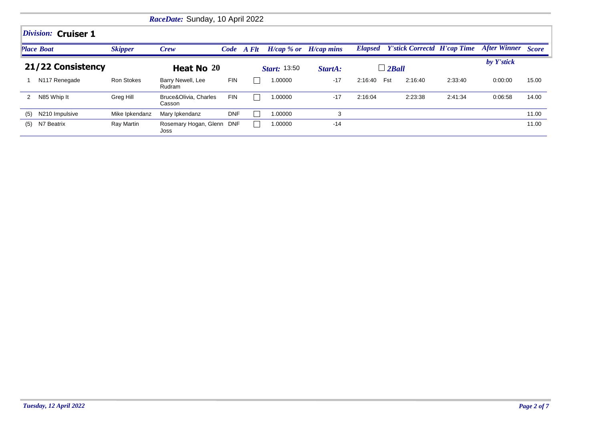|                   |                           |                   | RaceDate: Sunday, 10 April 2022   |            |            |                     |              |                |                                            |         |                           |       |  |  |  |
|-------------------|---------------------------|-------------------|-----------------------------------|------------|------------|---------------------|--------------|----------------|--------------------------------------------|---------|---------------------------|-------|--|--|--|
|                   | Division: Cruiser 1       |                   |                                   |            |            |                     |              |                |                                            |         |                           |       |  |  |  |
|                   | <b>Place Boat</b>         | <b>Skipper</b>    | Crew                              |            | Code A Flt | $H/cap \, %$ or     | $H/cap$ mins |                | <b>Elapsed</b> Y'stick Correctd H'cap Time |         | <b>After Winner Score</b> |       |  |  |  |
| 21/22 Consistency |                           |                   |                                   | Heat No 20 |            | <b>Start:</b> 13:50 | StartA:      | $\perp$ 2 Ball |                                            |         | by Y'stick                |       |  |  |  |
|                   | N <sub>117</sub> Renegade | <b>Ron Stokes</b> | Barry Newell, Lee<br>Rudram       | <b>FIN</b> |            | 1.00000             | $-17$        | 2:16:40        | Fst<br>2:16:40                             | 2:33:40 | 0:00:00                   | 15.00 |  |  |  |
| $\mathbf{2}$      | N85 Whip It               | Greg Hill         | Bruce&Olivia, Charles<br>Casson   | <b>FIN</b> |            | 1.00000             | $-17$        | 2:16:04        | 2:23:38                                    | 2:41:34 | 0:06:58                   | 14.00 |  |  |  |
| (5)               | N210 Impulsive            | Mike Ipkendanz    | Mary Ipkendanz                    | <b>DNF</b> |            | 1.00000             | 3            |                |                                            |         |                           | 11.00 |  |  |  |
| (5)               | N7 Beatrix                | Ray Martin        | Rosemary Hogan, Glenn DNF<br>Joss |            |            | 1.00000             | $-14$        |                |                                            |         |                           | 11.00 |  |  |  |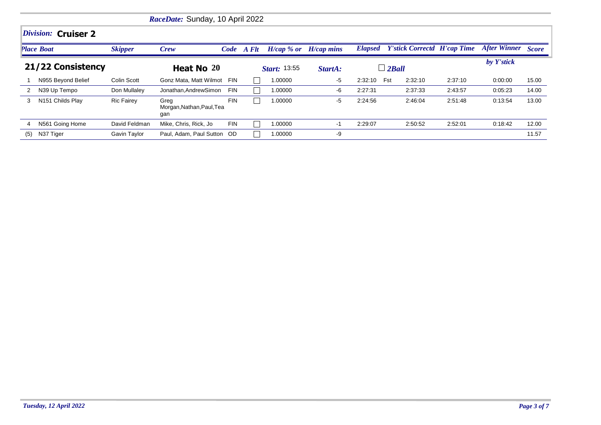|     | RaceDate: Sunday, 10 April 2022 |                   |                                          |            |  |                           |         |         |                                            |         |                           |       |  |  |  |
|-----|---------------------------------|-------------------|------------------------------------------|------------|--|---------------------------|---------|---------|--------------------------------------------|---------|---------------------------|-------|--|--|--|
|     | Division: Cruiser 2             |                   |                                          |            |  |                           |         |         |                                            |         |                           |       |  |  |  |
|     | <b>Place Boat</b>               | <b>Skipper</b>    | Crew                                     | Code A Flt |  | $H/cap$ % or $H/cap$ mins |         |         | <b>Elapsed</b> Y'stick Correctd H'cap Time |         | <b>After Winner Score</b> |       |  |  |  |
|     | 21/22 Consistency               |                   | Heat No 20                               |            |  | <b>Start: 13:55</b>       | StartA: |         | $\perp$ 2 Ball                             |         | by Y'stick                |       |  |  |  |
|     | N955 Beyond Belief              | Colin Scott       | Gonz Mata, Matt Wilmot                   | <b>FIN</b> |  | 1.00000                   | $-5$    | 2:32:10 | Fst<br>2:32:10                             | 2:37:10 | 0:00:00                   | 15.00 |  |  |  |
| 2   | N39 Up Tempo                    | Don Mullaley      | Jonathan, Andrew Simon                   | FIN        |  | 1.00000                   | -6      | 2:27:31 | 2:37:33                                    | 2:43:57 | 0:05:23                   | 14.00 |  |  |  |
| 3   | N151 Childs Play                | <b>Ric Fairey</b> | Greg<br>Morgan, Nathan, Paul, Tea<br>gan | <b>FIN</b> |  | 1.00000                   | -5      | 2:24:56 | 2:46:04                                    | 2:51:48 | 0:13:54                   | 13.00 |  |  |  |
| 4   | N561 Going Home                 | David Feldman     | Mike, Chris, Rick, Jo                    | <b>FIN</b> |  | 1.00000                   | $-1$    | 2:29:07 | 2:50:52                                    | 2:52:01 | 0:18:42                   | 12.00 |  |  |  |
| (5) | N37 Tiger                       | Gavin Taylor      | Paul, Adam, Paul Sutton OD               |            |  | 1.00000                   | -9      |         |                                            |         |                           | 11.57 |  |  |  |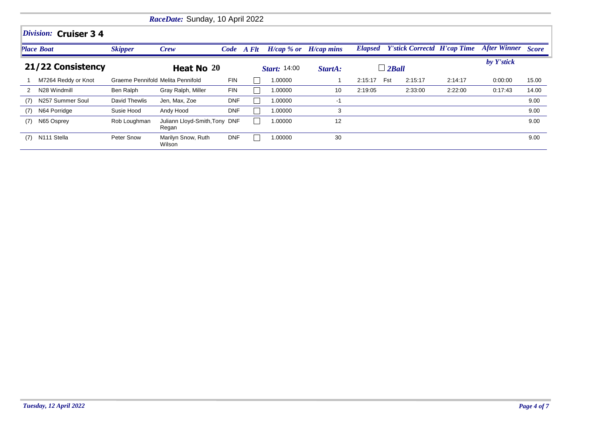|     |                       |                                   | RaceDate: Sunday, 10 April 2022        |            |  |                     |              |         |                                            |         |                           |       |  |  |  |
|-----|-----------------------|-----------------------------------|----------------------------------------|------------|--|---------------------|--------------|---------|--------------------------------------------|---------|---------------------------|-------|--|--|--|
|     | Division: Cruiser 3 4 |                                   |                                        |            |  |                     |              |         |                                            |         |                           |       |  |  |  |
|     | <b>Place Boat</b>     | <b>Skipper</b>                    | Crew                                   | Code A Flt |  | $H/cap \, %$ or     | $H/cap$ mins |         | <b>Elapsed</b> Y'stick Correctd H'cap Time |         | <b>After Winner Score</b> |       |  |  |  |
|     | 21/22 Consistency     |                                   | Heat No 20                             |            |  | <b>Start:</b> 14:00 | StartA:      |         | $\Box$ 2Ball                               |         | by Y'stick                |       |  |  |  |
|     | M7264 Reddy or Knot   | Graeme Pennifold Melita Pennifold |                                        | <b>FIN</b> |  | 1.00000             |              | 2:15:17 | Fst<br>2:15:17                             | 2:14:17 | 0:00:00                   | 15.00 |  |  |  |
| 2   | N28 Windmill          | Ben Ralph                         | Gray Ralph, Miller                     | <b>FIN</b> |  | 1.00000             | 10           | 2:19:05 | 2:33:00                                    | 2:22:00 | 0:17:43                   | 14.00 |  |  |  |
| (7) | N257 Summer Soul      | David Thewlis                     | Jen, Max, Zoe                          | <b>DNF</b> |  | 1.00000             | -1           |         |                                            |         |                           | 9.00  |  |  |  |
| (7) | N64 Porridge          | Susie Hood                        | Andy Hood                              | <b>DNF</b> |  | 1.00000             | 3            |         |                                            |         |                           | 9.00  |  |  |  |
| (7) | N65 Osprey            | Rob Loughman                      | Juliann Lloyd-Smith, Tony DNF<br>Regan |            |  | 1.00000             | 12           |         |                                            |         |                           | 9.00  |  |  |  |
| (7) | N111 Stella           | Peter Snow                        | Marilyn Snow, Ruth<br>Wilson           | <b>DNF</b> |  | 1.00000             | 30           |         |                                            |         |                           | 9.00  |  |  |  |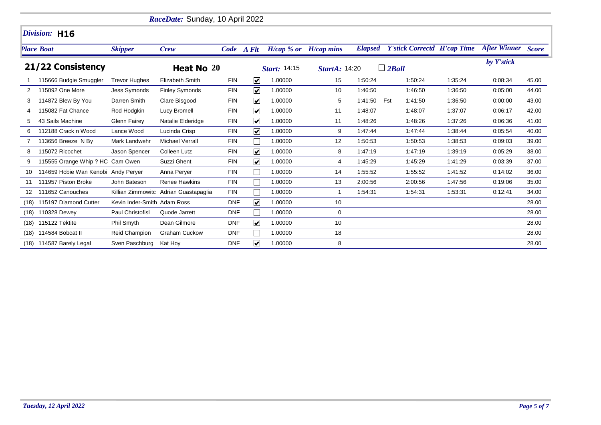|                   |                                     |                             | RaceDate: Sunday, 10 April 2022       |            |                         |         |                           |                                      |                                    |         |                           |       |
|-------------------|-------------------------------------|-----------------------------|---------------------------------------|------------|-------------------------|---------|---------------------------|--------------------------------------|------------------------------------|---------|---------------------------|-------|
|                   | Division: H16                       |                             |                                       |            |                         |         |                           |                                      |                                    |         |                           |       |
|                   | <b>Place Boat</b>                   | <b>Skipper</b>              | Crew                                  | Code A Flt |                         |         | $H/cap$ % or $H/cap$ mins | <b>Elapsed</b>                       | <b>Y'stick Correctd H'cap Time</b> |         | <b>After Winner Score</b> |       |
| 21/22 Consistency |                                     |                             | Heat No 20                            |            | Start: 14:15            |         |                           | $\Box$ 2Ball<br><b>StartA: 14:20</b> |                                    |         | by Y'stick                |       |
|                   | 115666 Budgie Smuggler              | <b>Trevor Hughes</b>        | Elizabeth Smith                       | <b>FIN</b> | $\overline{\mathbf{v}}$ | 1.00000 | 15                        | 1:50:24                              | 1:50:24                            | 1:35:24 | 0:08:34                   | 45.00 |
| 2                 | 115092 One More                     | Jess Symonds                | <b>Finley Symonds</b>                 | <b>FIN</b> | $\blacktriangledown$    | 1.00000 | 10                        | 1:46:50                              | 1:46:50                            | 1:36:50 | 0:05:00                   | 44.00 |
| 3                 | 114872 Blew By You                  | Darren Smith                | Clare Bisgood                         | <b>FIN</b> | $\overline{\mathbf{v}}$ | 1.00000 | 5                         | 1:41:50                              | 1:41:50<br>Fst                     | 1:36:50 | 0:00:00                   | 43.00 |
|                   | 115082 Fat Chance                   | Rod Hodgkin                 | Lucy Bromell                          | <b>FIN</b> | $\blacktriangledown$    | 1.00000 | 11                        | 1:48:07                              | 1:48:07                            | 1:37:07 | 0:06:17                   | 42.00 |
| 5                 | 43 Sails Machine                    | Glenn Fairey                | Natalie Elderidge                     | <b>FIN</b> | $\overline{\mathbf{v}}$ | 1.00000 | 11                        | 1:48:26                              | 1:48:26                            | 1:37:26 | 0:06:36                   | 41.00 |
| 6                 | 112188 Crack n Wood                 | Lance Wood                  | Lucinda Crisp                         | <b>FIN</b> | $\blacktriangledown$    | 1.00000 | 9                         | 1:47:44                              | 1:47:44                            | 1:38:44 | 0:05:54                   | 40.00 |
|                   | 113656 Breeze N By                  | Mark Landwehr               | <b>Michael Verrall</b>                | <b>FIN</b> |                         | 1.00000 | 12                        | 1:50:53                              | 1:50:53                            | 1:38:53 | 0:09:03                   | 39.00 |
| 8                 | 115072 Ricochet                     | Jason Spencer               | <b>Colleen Lutz</b>                   | <b>FIN</b> | $\blacktriangledown$    | 1.00000 | 8                         | 1:47:19                              | 1:47:19                            | 1:39:19 | 0:05:29                   | 38.00 |
| 9                 | 115555 Orange Whip ? HC Cam Owen    |                             | Suzzi Ghent                           | <b>FIN</b> | $\blacktriangledown$    | 1.00000 | 4                         | 1:45:29                              | 1:45:29                            | 1:41:29 | 0:03:39                   | 37.00 |
| 10                | 114659 Hobie Wan Kenobi Andy Peryer |                             | Anna Perver                           | <b>FIN</b> |                         | 1.00000 | 14                        | 1:55:52                              | 1:55:52                            | 1:41:52 | 0.14:02                   | 36.00 |
| 11                | 111957 Piston Broke                 | John Bateson                | <b>Renee Hawkins</b>                  | <b>FIN</b> |                         | 1.00000 | 13                        | 2:00:56                              | 2:00:56                            | 1:47:56 | 0:19:06                   | 35.00 |
| 12                | 111652 Canouches                    |                             | Killian Zimmowitc Adrian Guastapaglia | <b>FIN</b> |                         | 1.00000 | $\mathbf{1}$              | 1:54:31                              | 1:54:31                            | 1:53:31 | 0:12:41                   | 34.00 |
| (18)              | 115197 Diamond Cutter               | Kevin Inder-Smith Adam Ross |                                       | <b>DNF</b> | $\blacktriangledown$    | 1.00000 | 10                        |                                      |                                    |         |                           | 28.00 |
| (18)              | 110328 Dewey                        | Paul Christofisl            | Quode Jarrett                         | <b>DNF</b> |                         | 1.00000 | 0                         |                                      |                                    |         |                           | 28.00 |
| (18)              | 115122 Tektite                      | Phil Smyth                  | Dean Gilmore                          | <b>DNF</b> | $\overline{\mathbf{v}}$ | 1.00000 | 10                        |                                      |                                    |         |                           | 28.00 |
| (18)              | 114584 Bobcat II                    | Reid Champion               | <b>Graham Cuckow</b>                  | <b>DNF</b> |                         | 1.00000 | 18                        |                                      |                                    |         |                           | 28.00 |
|                   | (18) 114587 Barely Legal            | Sven Paschburg              | Kat Hoy                               | <b>DNF</b> | $\blacktriangledown$    | 1.00000 | 8                         |                                      |                                    |         |                           | 28.00 |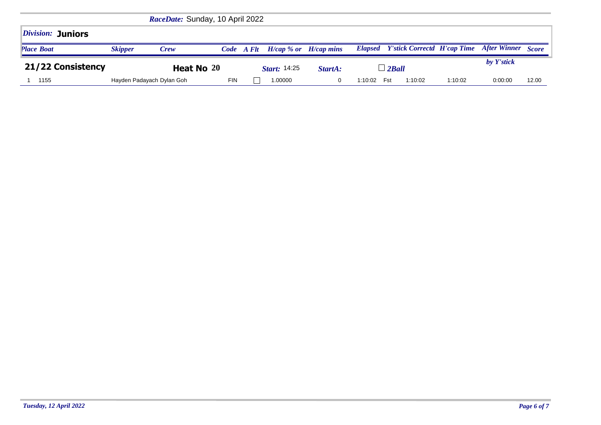|                                 |                | RaceDate: Sunday, 10 April 2022 |                     |  |                              |                |         |     |            |                                            |                     |              |
|---------------------------------|----------------|---------------------------------|---------------------|--|------------------------------|----------------|---------|-----|------------|--------------------------------------------|---------------------|--------------|
| <i><b>Division: Juniors</b></i> |                |                                 |                     |  |                              |                |         |     |            |                                            |                     |              |
| <b>Place Boat</b>               | <b>Skipper</b> | Crew                            | Code A Flt          |  | $H/cap \, %$ or $H/cap$ mins |                |         |     |            | <b>Elapsed</b> Y'stick Correctd H'cap Time | <b>After Winner</b> | <b>Score</b> |
| 21/22 Consistency               | Heat No 20     |                                 | <i>Start:</i> 14:25 |  | StartA:                      | $\perp$ 2 Ball |         |     | by Y'stick |                                            |                     |              |
| 1155                            |                | Hayden Padayach Dylan Goh       | <b>FIN</b>          |  | 1.00000                      | 0              | 1:10:02 | Fst | 1:10:02    | 1:10:02                                    | 0:00:00             | 12.00        |